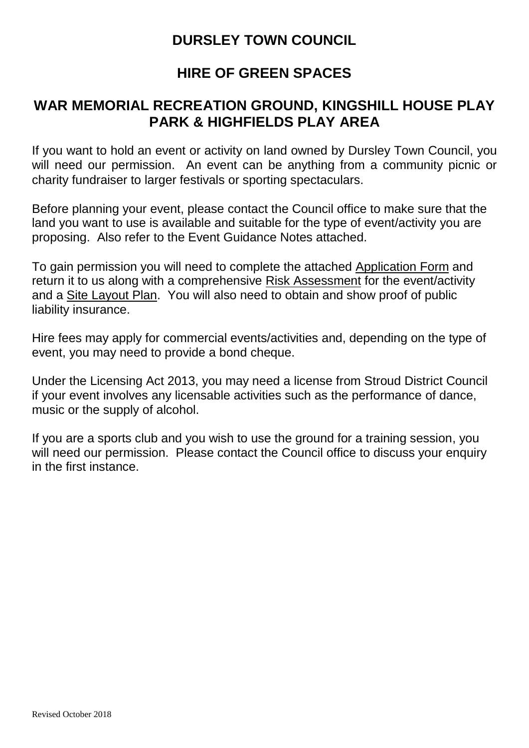### **DURSLEY TOWN COUNCIL**

### **HIRE OF GREEN SPACES**

### **WAR MEMORIAL RECREATION GROUND, KINGSHILL HOUSE PLAY PARK & HIGHFIELDS PLAY AREA**

If you want to hold an event or activity on land owned by Dursley Town Council, you will need our permission. An event can be anything from a community picnic or charity fundraiser to larger festivals or sporting spectaculars.

Before planning your event, please contact the Council office to make sure that the land you want to use is available and suitable for the type of event/activity you are proposing. Also refer to the Event Guidance Notes attached.

To gain permission you will need to complete the attached [Application Form](http://www.gloucester.gov.uk/resident/Documents/Leisure%20Parks%20and%20Events/Events%20letter%20and%20application%20form.docx) and return it to us along with a comprehensive Risk Assessment for the event/activity and a Site Layout Plan. You will also need to obtain and show proof of public liability insurance.

Hire fees may apply for commercial events/activities and, depending on the type of event, you may need to provide a bond cheque.

Under the Licensing Act 2013, you may need a license from Stroud District Council if your event involves any licensable activities such as the performance of dance, music or the supply of alcohol.

If you are a sports club and you wish to use the ground for a training session, you will need our permission. Please contact the Council office to discuss your enquiry in the first instance.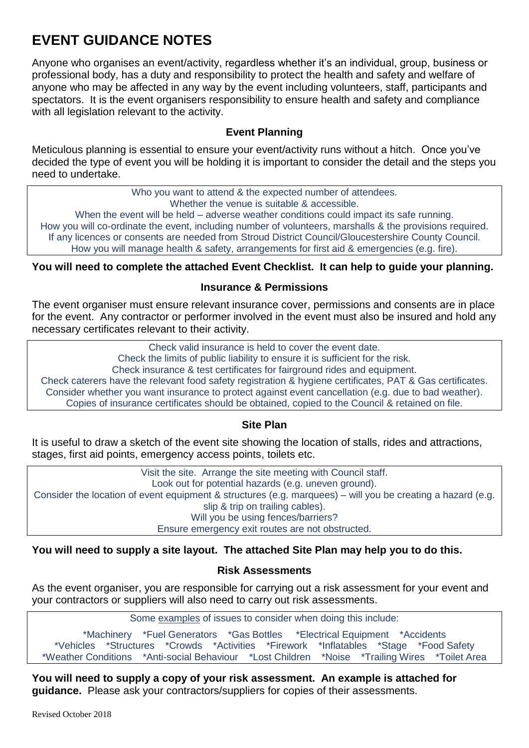## **EVENT GUIDANCE NOTES**

Anyone who organises an event/activity, regardless whether it's an individual, group, business or professional body, has a duty and responsibility to protect the health and safety and welfare of anyone who may be affected in any way by the event including volunteers, staff, participants and spectators. It is the event organisers responsibility to ensure health and safety and compliance with all legislation relevant to the activity.

### **Event Planning**

Meticulous planning is essential to ensure your event/activity runs without a hitch. Once you've decided the type of event you will be holding it is important to consider the detail and the steps you need to undertake.

> Who you want to attend & the expected number of attendees. Whether the venue is suitable & accessible.

When the event will be held – adverse weather conditions could impact its safe running. How you will co-ordinate the event, including number of volunteers, marshalls & the provisions required. If any licences or consents are needed from Stroud District Council/Gloucestershire County Council. How you will manage health & safety, arrangements for first aid & emergencies (e.g. fire).

**You will need to complete the attached Event Checklist. It can help to guide your planning.**

#### **Insurance & Permissions**

The event organiser must ensure relevant insurance cover, permissions and consents are in place for the event. Any contractor or performer involved in the event must also be insured and hold any necessary certificates relevant to their activity.

Check valid insurance is held to cover the event date.

Check the limits of public liability to ensure it is sufficient for the risk.

Check insurance & test certificates for fairground rides and equipment.

Check caterers have the relevant food safety registration & hygiene certificates, PAT & Gas certificates. Consider whether you want insurance to protect against event cancellation (e.g. due to bad weather). Copies of insurance certificates should be obtained, copied to the Council & retained on file.

#### **Site Plan**

It is useful to draw a sketch of the event site showing the location of stalls, rides and attractions, stages, first aid points, emergency access points, toilets etc.

Visit the site. Arrange the site meeting with Council staff. Look out for potential hazards (e.g. uneven ground). Consider the location of event equipment & structures (e.g. marquees) – will you be creating a hazard (e.g. slip & trip on trailing cables). Will you be using fences/barriers? Ensure emergency exit routes are not obstructed.

#### **You will need to supply a site layout. The attached Site Plan may help you to do this.**

### **Risk Assessments**

As the event organiser, you are responsible for carrying out a risk assessment for your event and your contractors or suppliers will also need to carry out risk assessments.

Some examples of issues to consider when doing this include:

\*Machinery \*Fuel Generators \*Gas Bottles \*Electrical Equipment \*Accidents \*Vehicles \*Structures \*Crowds \*Activities \*Firework \*Inflatables \*Stage \*Food Safety \*Weather Conditions \*Anti-social Behaviour \*Lost Children \*Noise \*Trailing Wires \*Toilet Area

**You will need to supply a copy of your risk assessment. An example is attached for guidance.** Please ask your contractors/suppliers for copies of their assessments.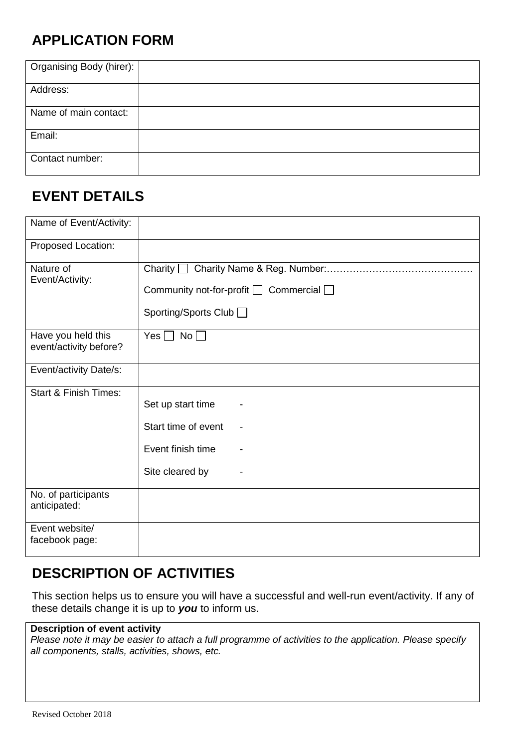# **APPLICATION FORM**

| Organising Body (hirer): |  |
|--------------------------|--|
| Address:                 |  |
| Name of main contact:    |  |
| Email:                   |  |
| Contact number:          |  |

## **EVENT DETAILS**

| Name of Event/Activity:                      |                                                                                                  |
|----------------------------------------------|--------------------------------------------------------------------------------------------------|
| Proposed Location:                           |                                                                                                  |
| Nature of<br>Event/Activity:                 | Charity [<br>$\Box$<br>Community not-for-profit $\Box$ Commercial $\Box$<br>Sporting/Sports Club |
| Have you held this<br>event/activity before? | Yes $\Box$<br>No                                                                                 |
| Event/activity Date/s:                       |                                                                                                  |
| <b>Start &amp; Finish Times:</b>             | Set up start time                                                                                |
|                                              | Start time of event                                                                              |
|                                              | Event finish time                                                                                |
|                                              | Site cleared by                                                                                  |
| No. of participants<br>anticipated:          |                                                                                                  |
| Event website/<br>facebook page:             |                                                                                                  |

## **DESCRIPTION OF ACTIVITIES**

This section helps us to ensure you will have a successful and well-run event/activity. If any of these details change it is up to *you* to inform us.

### **Description of event activity**

*Please note it may be easier to attach a full programme of activities to the application. Please specify all components, stalls, activities, shows, etc.*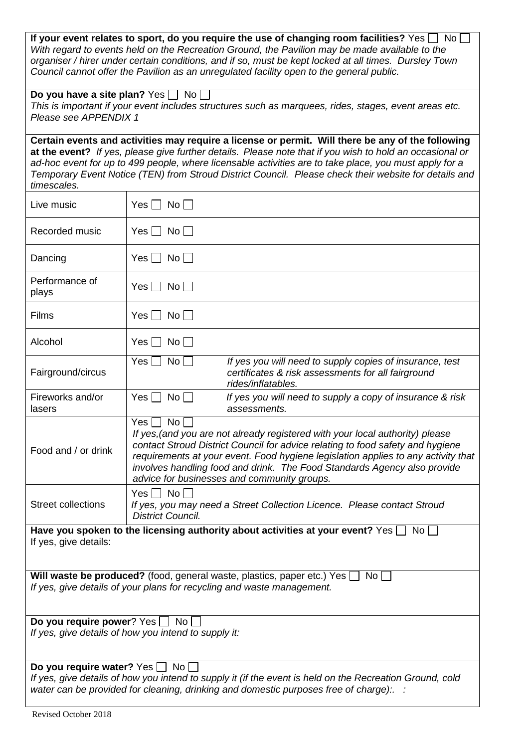| If your event relates to sport, do you require the use of changing room facilities? Yes $\Box$ No<br>With regard to events held on the Recreation Ground, the Pavilion may be made available to the<br>organiser / hirer under certain conditions, and if so, must be kept locked at all times. Dursley Town<br>Council cannot offer the Pavilion as an unregulated facility open to the general public.                                        |                                                                                                                                                                                                                                                                                                                                                                                              |  |  |  |
|-------------------------------------------------------------------------------------------------------------------------------------------------------------------------------------------------------------------------------------------------------------------------------------------------------------------------------------------------------------------------------------------------------------------------------------------------|----------------------------------------------------------------------------------------------------------------------------------------------------------------------------------------------------------------------------------------------------------------------------------------------------------------------------------------------------------------------------------------------|--|--|--|
| Do you have a site plan? Yes $\Box$ No $\Box$<br>This is important if your event includes structures such as marquees, rides, stages, event areas etc.<br>Please see APPENDIX 1                                                                                                                                                                                                                                                                 |                                                                                                                                                                                                                                                                                                                                                                                              |  |  |  |
| Certain events and activities may require a license or permit. Will there be any of the following<br>at the event? If yes, please give further details. Please note that if you wish to hold an occasional or<br>ad-hoc event for up to 499 people, where licensable activities are to take place, you must apply for a<br>Temporary Event Notice (TEN) from Stroud District Council. Please check their website for details and<br>timescales. |                                                                                                                                                                                                                                                                                                                                                                                              |  |  |  |
| Live music                                                                                                                                                                                                                                                                                                                                                                                                                                      | $Yes \nightharpoonup No \nightharpoonup$                                                                                                                                                                                                                                                                                                                                                     |  |  |  |
| Recorded music                                                                                                                                                                                                                                                                                                                                                                                                                                  | $Yes \nightharpoonup No \nightharpoonup$                                                                                                                                                                                                                                                                                                                                                     |  |  |  |
| Dancing                                                                                                                                                                                                                                                                                                                                                                                                                                         | $Yes \Box No \Box$                                                                                                                                                                                                                                                                                                                                                                           |  |  |  |
| Performance of<br>plays                                                                                                                                                                                                                                                                                                                                                                                                                         | $Yes \Box No \Box$                                                                                                                                                                                                                                                                                                                                                                           |  |  |  |
| <b>Films</b>                                                                                                                                                                                                                                                                                                                                                                                                                                    | Yes     No                                                                                                                                                                                                                                                                                                                                                                                   |  |  |  |
| Alcohol                                                                                                                                                                                                                                                                                                                                                                                                                                         | Yes     No                                                                                                                                                                                                                                                                                                                                                                                   |  |  |  |
| Fairground/circus                                                                                                                                                                                                                                                                                                                                                                                                                               | If yes you will need to supply copies of insurance, test<br>$\overline{\mathsf{No}}$ $\overline{\mathsf{I}}$<br>Yes <br>certificates & risk assessments for all fairground<br>rides/inflatables.                                                                                                                                                                                             |  |  |  |
| Fireworks and/or<br>lasers                                                                                                                                                                                                                                                                                                                                                                                                                      | $No \Box$<br>$Yes$ $\Box$<br>If yes you will need to supply a copy of insurance & risk<br>assessments.                                                                                                                                                                                                                                                                                       |  |  |  |
| Food and / or drink                                                                                                                                                                                                                                                                                                                                                                                                                             | Yes<br>No<br>If yes, (and you are not already registered with your local authority) please<br>contact Stroud District Council for advice relating to food safety and hygiene<br>requirements at your event. Food hygiene legislation applies to any activity that<br>involves handling food and drink. The Food Standards Agency also provide<br>advice for businesses and community groups. |  |  |  |
| <b>Street collections</b>                                                                                                                                                                                                                                                                                                                                                                                                                       | $Yes \Box No \Box$<br>If yes, you may need a Street Collection Licence. Please contact Stroud<br><b>District Council.</b>                                                                                                                                                                                                                                                                    |  |  |  |
| Have you spoken to the licensing authority about activities at your event? Yes $\Box$ No $\Box$<br>If yes, give details:                                                                                                                                                                                                                                                                                                                        |                                                                                                                                                                                                                                                                                                                                                                                              |  |  |  |
| Will waste be produced? (food, general waste, plastics, paper etc.) Yes<br>No.<br>If yes, give details of your plans for recycling and waste management.                                                                                                                                                                                                                                                                                        |                                                                                                                                                                                                                                                                                                                                                                                              |  |  |  |
| Do you require power? Yes No [<br>If yes, give details of how you intend to supply it:                                                                                                                                                                                                                                                                                                                                                          |                                                                                                                                                                                                                                                                                                                                                                                              |  |  |  |
| Do you require water? Yes   No<br>If yes, give details of how you intend to supply it (if the event is held on the Recreation Ground, cold<br>water can be provided for cleaning, drinking and domestic purposes free of charge): $\therefore$                                                                                                                                                                                                  |                                                                                                                                                                                                                                                                                                                                                                                              |  |  |  |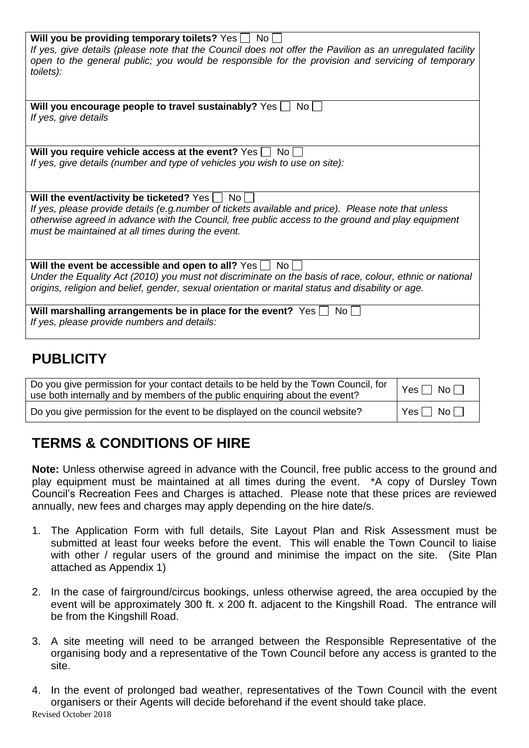| Will you be providing temporary toilets? Yes No<br>If yes, give details (please note that the Council does not offer the Pavilion as an unregulated facility<br>open to the general public; you would be responsible for the provision and servicing of temporary<br>toilets):                                 |
|----------------------------------------------------------------------------------------------------------------------------------------------------------------------------------------------------------------------------------------------------------------------------------------------------------------|
| Will you encourage people to travel sustainably? Yes [<br>No.<br>If yes, give details                                                                                                                                                                                                                          |
| Will you require vehicle access at the event? Yes [<br>No L<br>If yes, give details (number and type of vehicles you wish to use on site):                                                                                                                                                                     |
| Will the event/activity be ticketed? Yes   No<br>If yes, please provide details (e.g.number of tickets available and price). Please note that unless<br>otherwise agreed in advance with the Council, free public access to the ground and play equipment<br>must be maintained at all times during the event. |
| Will the event be accessible and open to all? Yes $\Box$<br>No l<br>Under the Equality Act (2010) you must not discriminate on the basis of race, colour, ethnic or national<br>origins, religion and belief, gender, sexual orientation or marital status and disability or age.                              |
| Will marshalling arrangements be in place for the event? Yes $\Box$ No $\Box$<br>If yes, please provide numbers and details:                                                                                                                                                                                   |

## **PUBLICITY**

| Do you give permission for your contact details to be held by the Town Council, for<br>use both internally and by members of the public enquiring about the event? | $Yes \Box No \Box$ |
|--------------------------------------------------------------------------------------------------------------------------------------------------------------------|--------------------|
| Do you give permission for the event to be displayed on the council website?                                                                                       | ∣ Yes □ No □       |

# **TERMS & CONDITIONS OF HIRE**

**Note:** Unless otherwise agreed in advance with the Council, free public access to the ground and play equipment must be maintained at all times during the event. \*A copy of Dursley Town Council's Recreation Fees and Charges is attached. Please note that these prices are reviewed annually, new fees and charges may apply depending on the hire date/s.

- 1. The Application Form with full details, Site Layout Plan and Risk Assessment must be submitted at least four weeks before the event. This will enable the Town Council to liaise with other / regular users of the ground and minimise the impact on the site. (Site Plan attached as Appendix 1)
- 2. In the case of fairground/circus bookings, unless otherwise agreed, the area occupied by the event will be approximately 300 ft. x 200 ft. adjacent to the Kingshill Road. The entrance will be from the Kingshill Road.
- 3. A site meeting will need to be arranged between the Responsible Representative of the organising body and a representative of the Town Council before any access is granted to the site.
- Revised October 2018 4. In the event of prolonged bad weather, representatives of the Town Council with the event organisers or their Agents will decide beforehand if the event should take place.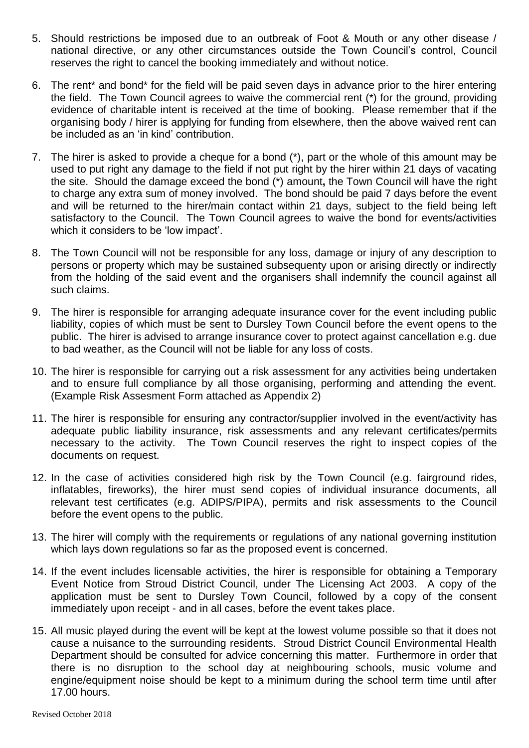- 5. Should restrictions be imposed due to an outbreak of Foot & Mouth or any other disease / national directive, or any other circumstances outside the Town Council's control, Council reserves the right to cancel the booking immediately and without notice.
- 6. The rent\* and bond\* for the field will be paid seven days in advance prior to the hirer entering the field. The Town Council agrees to waive the commercial rent (\*) for the ground, providing evidence of charitable intent is received at the time of booking. Please remember that if the organising body / hirer is applying for funding from elsewhere, then the above waived rent can be included as an 'in kind' contribution.
- 7. The hirer is asked to provide a cheque for a bond (\*), part or the whole of this amount may be used to put right any damage to the field if not put right by the hirer within 21 days of vacating the site. Should the damage exceed the bond (\*) amount**,** the Town Council will have the right to charge any extra sum of money involved. The bond should be paid 7 days before the event and will be returned to the hirer/main contact within 21 days, subject to the field being left satisfactory to the Council. The Town Council agrees to waive the bond for events/activities which it considers to be 'low impact'.
- 8. The Town Council will not be responsible for any loss, damage or injury of any description to persons or property which may be sustained subsequenty upon or arising directly or indirectly from the holding of the said event and the organisers shall indemnify the council against all such claims.
- 9. The hirer is responsible for arranging adequate insurance cover for the event including public liability, copies of which must be sent to Dursley Town Council before the event opens to the public. The hirer is advised to arrange insurance cover to protect against cancellation e.g. due to bad weather, as the Council will not be liable for any loss of costs.
- 10. The hirer is responsible for carrying out a risk assessment for any activities being undertaken and to ensure full compliance by all those organising, performing and attending the event. (Example Risk Assesment Form attached as Appendix 2)
- 11. The hirer is responsible for ensuring any contractor/supplier involved in the event/activity has adequate public liability insurance, risk assessments and any relevant certificates/permits necessary to the activity. The Town Council reserves the right to inspect copies of the documents on request.
- 12. In the case of activities considered high risk by the Town Council (e.g. fairground rides, inflatables, fireworks), the hirer must send copies of individual insurance documents, all relevant test certificates (e.g. ADIPS/PIPA), permits and risk assessments to the Council before the event opens to the public.
- 13. The hirer will comply with the requirements or regulations of any national governing institution which lays down regulations so far as the proposed event is concerned.
- 14. If the event includes licensable activities, the hirer is responsible for obtaining a Temporary Event Notice from Stroud District Council, under The Licensing Act 2003. A copy of the application must be sent to Dursley Town Council, followed by a copy of the consent immediately upon receipt - and in all cases, before the event takes place.
- 15. All music played during the event will be kept at the lowest volume possible so that it does not cause a nuisance to the surrounding residents. Stroud District Council Environmental Health Department should be consulted for advice concerning this matter. Furthermore in order that there is no disruption to the school day at neighbouring schools, music volume and engine/equipment noise should be kept to a minimum during the school term time until after 17.00 hours.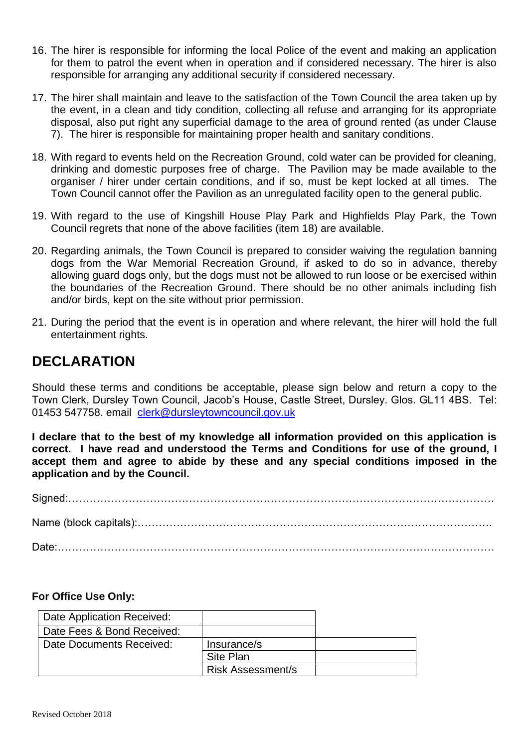- 16. The hirer is responsible for informing the local Police of the event and making an application for them to patrol the event when in operation and if considered necessary. The hirer is also responsible for arranging any additional security if considered necessary.
- 17. The hirer shall maintain and leave to the satisfaction of the Town Council the area taken up by the event, in a clean and tidy condition, collecting all refuse and arranging for its appropriate disposal, also put right any superficial damage to the area of ground rented (as under Clause 7). The hirer is responsible for maintaining proper health and sanitary conditions.
- 18. With regard to events held on the Recreation Ground, cold water can be provided for cleaning, drinking and domestic purposes free of charge. The Pavilion may be made available to the organiser / hirer under certain conditions, and if so, must be kept locked at all times. The Town Council cannot offer the Pavilion as an unregulated facility open to the general public.
- 19. With regard to the use of Kingshill House Play Park and Highfields Play Park, the Town Council regrets that none of the above facilities (item 18) are available.
- 20. Regarding animals, the Town Council is prepared to consider waiving the regulation banning dogs from the War Memorial Recreation Ground, if asked to do so in advance, thereby allowing guard dogs only, but the dogs must not be allowed to run loose or be exercised within the boundaries of the Recreation Ground. There should be no other animals including fish and/or birds, kept on the site without prior permission.
- 21. During the period that the event is in operation and where relevant, the hirer will hold the full entertainment rights.

### **DECLARATION**

Should these terms and conditions be acceptable, please sign below and return a copy to the Town Clerk, Dursley Town Council, Jacob's House, Castle Street, Dursley. Glos. GL11 4BS. Tel: 01453 547758. email [clerk@dursleytowncouncil.gov.uk](mailto:clerk@dursleytowncouncil.gov.uk)

**I declare that to the best of my knowledge all information provided on this application is correct. I have read and understood the Terms and Conditions for use of the ground, I accept them and agree to abide by these and any special conditions imposed in the application and by the Council.**

Signed:………………………………………………………………………………………………………… Name (block capitals):………………………………………………………………………………………. Date:……………………………………………………………………………………………………………

#### **For Office Use Only:**

| Date Application Received: |                          |  |
|----------------------------|--------------------------|--|
| Date Fees & Bond Received: |                          |  |
| Date Documents Received:   | Insurance/s              |  |
|                            | Site Plan                |  |
|                            | <b>Risk Assessment/s</b> |  |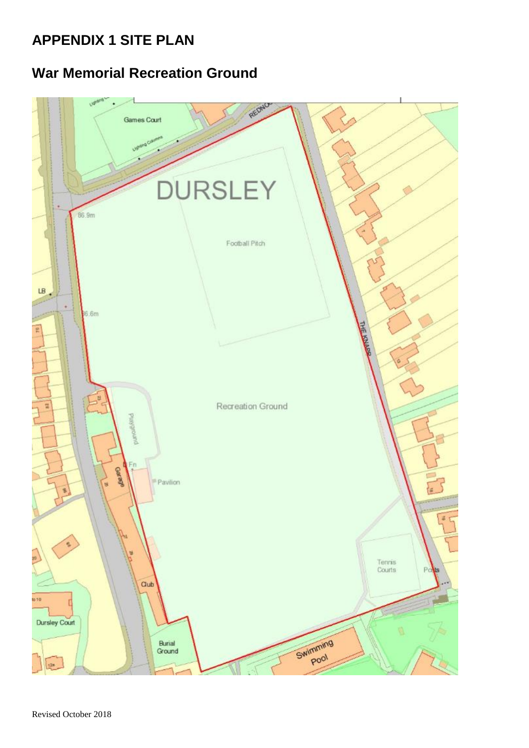# **APPENDIX 1 SITE PLAN**

# **War Memorial Recreation Ground**



Revised October 2018